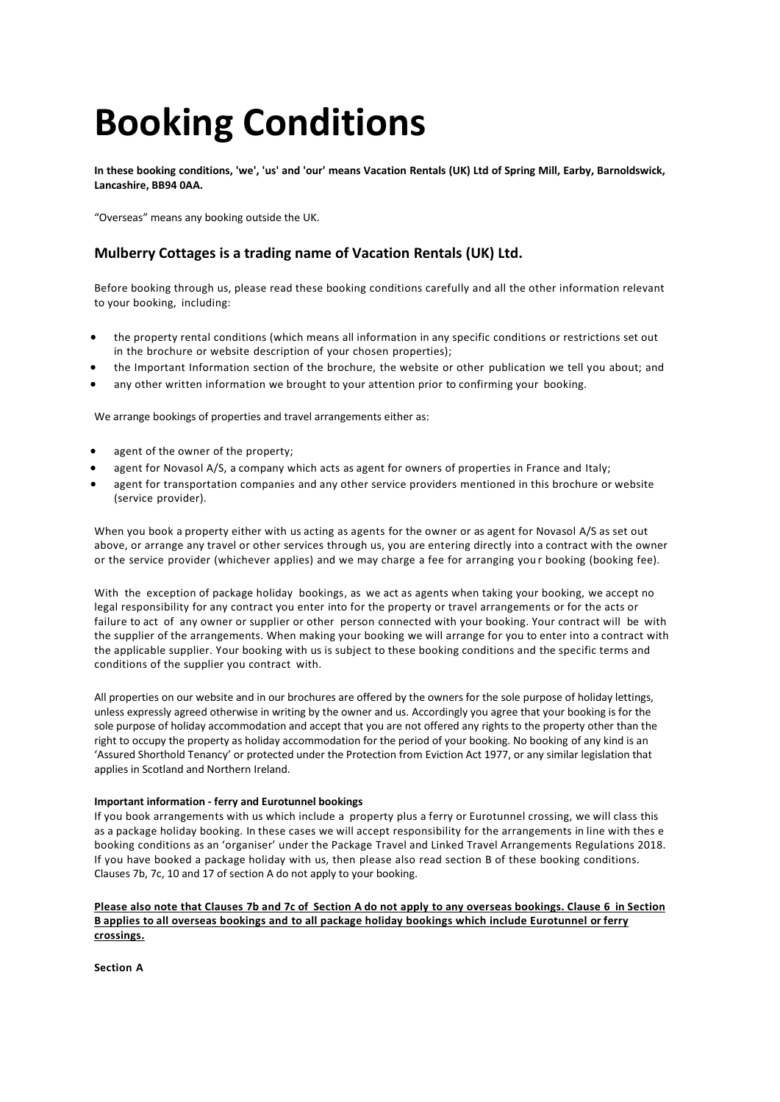# **Booking Conditions**

**In these booking conditions, 'we', 'us' and 'our' means Vacation Rentals (UK) Ltd of Spring Mill, Earby, Barnoldswick, Lancashire, BB94 0AA.**

"Overseas" means any booking outside the UK.

## **Mulberry Cottages is a trading name of Vacation Rentals (UK) Ltd.**

Before booking through us, please read these booking conditions carefully and all the other information relevant to your booking, including:

- the property rental conditions (which means all information in any specific conditions or restrictions set out in the brochure or website description of your chosen properties);
- the Important Information section of the brochure, the website or other publication we tell you about; and
- any other written information we brought to your attention prior to confirming your booking.

We arrange bookings of properties and travel arrangements either as:

- agent of the owner of the property;
- agent for Novasol A/S, a company which acts as agent for owners of properties in France and Italy;
- agent for transportation companies and any other service providers mentioned in this brochure or website (service provider).

When you book a property either with us acting as agents for the owner or as agent for Novasol A/S as set out above, or arrange any travel or other services through us, you are entering directly into a contract with the owner or the service provider (whichever applies) and we may charge a fee for arranging you r booking (booking fee).

With the exception of package holiday bookings, as we act as agents when taking your booking, we accept no legal responsibility for any contract you enter into for the property or travel arrangements or for the acts or failure to act of any owner or supplier or other person connected with your booking. Your contract will be with the supplier of the arrangements. When making your booking we will arrange for you to enter into a contract with the applicable supplier. Your booking with us is subject to these booking conditions and the specific terms and conditions of the supplier you contract with.

All properties on our website and in our brochures are offered by the owners for the sole purpose of holiday lettings, unless expressly agreed otherwise in writing by the owner and us. Accordingly you agree that your booking is for the sole purpose of holiday accommodation and accept that you are not offered any rights to the property other than the right to occupy the property as holiday accommodation for the period of your booking. No booking of any kind is an 'Assured Shorthold Tenancy' or protected under the Protection from Eviction Act 1977, or any similar legislation that applies in Scotland and Northern Ireland.

## **Important information - ferry and Eurotunnel bookings**

If you book arrangements with us which include a property plus a ferry or Eurotunnel crossing, we will class this as a package holiday booking. In these cases we will accept responsibility for the arrangements in line with thes e booking conditions as an 'organiser' under the Package Travel and Linked Travel Arrangements Regulations 2018. If you have booked a package holiday with us, then please also read section B of these booking conditions. Clauses 7b, 7c, 10 and 17 of section A do not apply to your booking.

## **Please also note that Clauses 7b and 7c of Section A do not apply to any overseas bookings. Clause 6 in Section B applies to all overseas bookings and to all package holiday bookings which include Eurotunnel or ferry crossings.**

**Section A**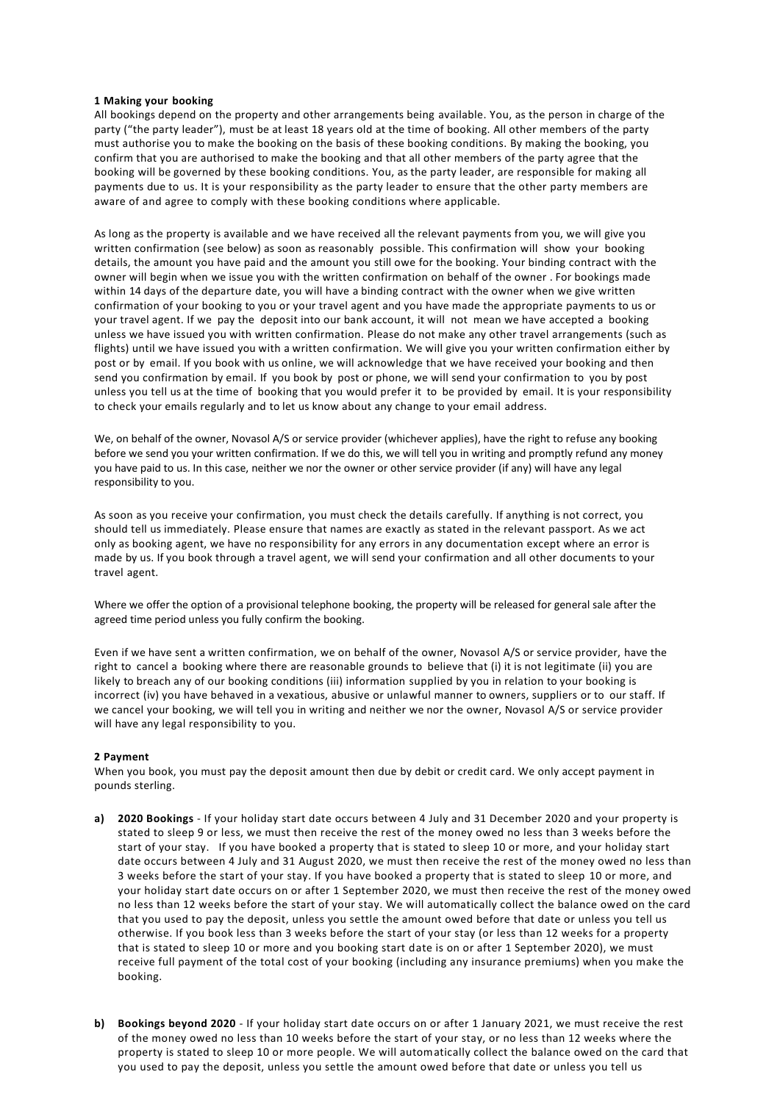## **1 Making your booking**

All bookings depend on the property and other arrangements being available. You, as the person in charge of the party ("the party leader"), must be at least 18 years old at the time of booking. All other members of the party must authorise you to make the booking on the basis of these booking conditions. By making the booking, you confirm that you are authorised to make the booking and that all other members of the party agree that the booking will be governed by these booking conditions. You, as the party leader, are responsible for making all payments due to us. It is your responsibility as the party leader to ensure that the other party members are aware of and agree to comply with these booking conditions where applicable.

As long as the property is available and we have received all the relevant payments from you, we will give you written confirmation (see below) as soon as reasonably possible. This confirmation will show your booking details, the amount you have paid and the amount you still owe for the booking. Your binding contract with the owner will begin when we issue you with the written confirmation on behalf of the owner . For bookings made within 14 days of the departure date, you will have a binding contract with the owner when we give written confirmation of your booking to you or your travel agent and you have made the appropriate payments to us or your travel agent. If we pay the deposit into our bank account, it will not mean we have accepted a booking unless we have issued you with written confirmation. Please do not make any other travel arrangements (such as flights) until we have issued you with a written confirmation. We will give you your written confirmation either by post or by email. If you book with us online, we will acknowledge that we have received your booking and then send you confirmation by email. If you book by post or phone, we will send your confirmation to you by post unless you tell us at the time of booking that you would prefer it to be provided by email. It is your responsibility to check your emails regularly and to let us know about any change to your email address.

We, on behalf of the owner, Novasol A/S or service provider (whichever applies), have the right to refuse any booking before we send you your written confirmation. If we do this, we will tell you in writing and promptly refund any money you have paid to us. In this case, neither we nor the owner or other service provider (if any) will have any legal responsibility to you.

As soon as you receive your confirmation, you must check the details carefully. If anything is not correct, you should tell us immediately. Please ensure that names are exactly as stated in the relevant passport. As we act only as booking agent, we have no responsibility for any errors in any documentation except where an error is made by us. If you book through a travel agent, we will send your confirmation and all other documents to your travel agent.

Where we offer the option of a provisional telephone booking, the property will be released for general sale after the agreed time period unless you fully confirm the booking.

Even if we have sent a written confirmation, we on behalf of the owner, Novasol A/S or service provider, have the right to cancel a booking where there are reasonable grounds to believe that (i) it is not legitimate (ii) you are likely to breach any of our booking conditions (iii) information supplied by you in relation to your booking is incorrect (iv) you have behaved in a vexatious, abusive or unlawful manner to owners, suppliers or to our staff. If we cancel your booking, we will tell you in writing and neither we nor the owner, Novasol A/S or service provider will have any legal responsibility to you.

## **2 Payment**

When you book, you must pay the deposit amount then due by debit or credit card. We only accept payment in pounds sterling.

- **a) 2020 Bookings** If your holiday start date occurs between 4 July and 31 December 2020 and your property is stated to sleep 9 or less, we must then receive the rest of the money owed no less than 3 weeks before the start of your stay. If you have booked a property that is stated to sleep 10 or more, and your holiday start date occurs between 4 July and 31 August 2020, we must then receive the rest of the money owed no less than 3 weeks before the start of your stay. If you have booked a property that is stated to sleep 10 or more, and your holiday start date occurs on or after 1 September 2020, we must then receive the rest of the money owed no less than 12 weeks before the start of your stay. We will automatically collect the balance owed on the card that you used to pay the deposit, unless you settle the amount owed before that date or unless you tell us otherwise. If you book less than 3 weeks before the start of your stay (or less than 12 weeks for a property that is stated to sleep 10 or more and you booking start date is on or after 1 September 2020), we must receive full payment of the total cost of your booking (including any insurance premiums) when you make the booking.
- **b) Bookings beyond 2020** If your holiday start date occurs on or after 1 January 2021, we must receive the rest of the money owed no less than 10 weeks before the start of your stay, or no less than 12 weeks where the property is stated to sleep 10 or more people. We will automatically collect the balance owed on the card that you used to pay the deposit, unless you settle the amount owed before that date or unless you tell us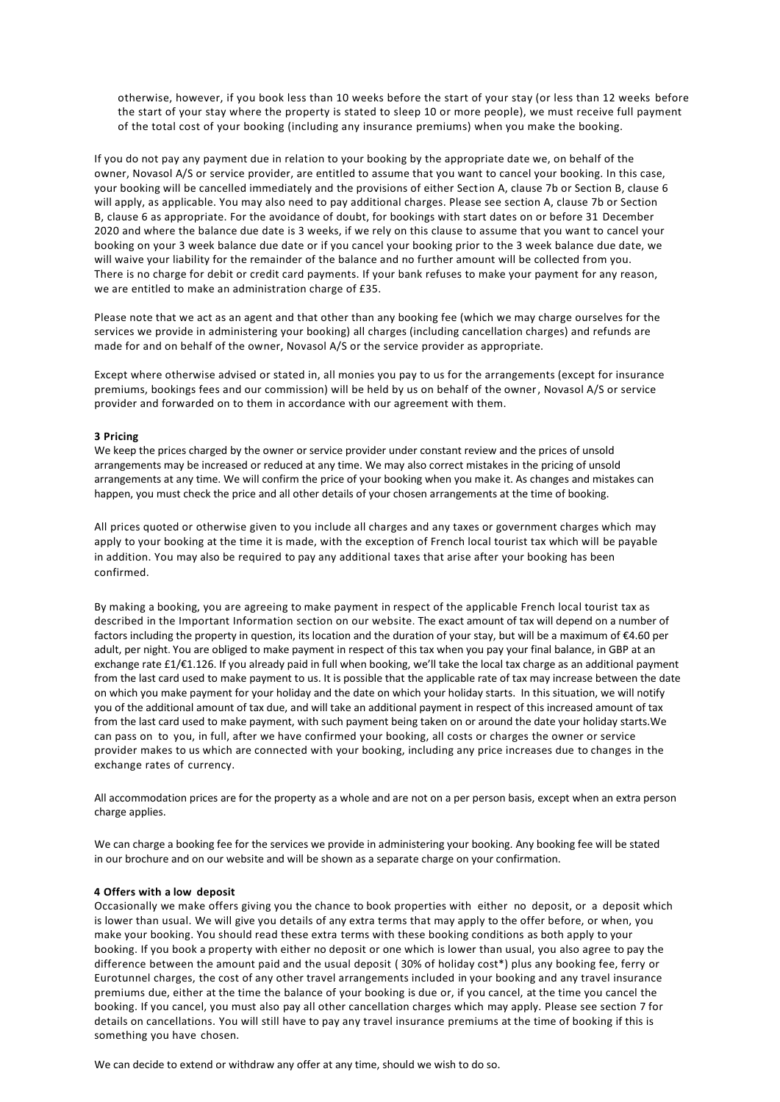otherwise, however, if you book less than 10 weeks before the start of your stay (or less than 12 weeks before the start of your stay where the property is stated to sleep 10 or more people), we must receive full payment of the total cost of your booking (including any insurance premiums) when you make the booking.

If you do not pay any payment due in relation to your booking by the appropriate date we, on behalf of the owner, Novasol A/S or service provider, are entitled to assume that you want to cancel your booking. In this case, your booking will be cancelled immediately and the provisions of either Section A, clause 7b or Section B, clause 6 will apply, as applicable. You may also need to pay additional charges. Please see section A, clause 7b or Section B, clause 6 as appropriate. For the avoidance of doubt, for bookings with start dates on or before 31 December 2020 and where the balance due date is 3 weeks, if we rely on this clause to assume that you want to cancel your booking on your 3 week balance due date or if you cancel your booking prior to the 3 week balance due date, we will waive your liability for the remainder of the balance and no further amount will be collected from you. There is no charge for debit or credit card payments. If your bank refuses to make your payment for any reason, we are entitled to make an administration charge of £35.

Please note that we act as an agent and that other than any booking fee (which we may charge ourselves for the services we provide in administering your booking) all charges (including cancellation charges) and refunds are made for and on behalf of the owner, Novasol A/S or the service provider as appropriate.

Except where otherwise advised or stated in, all monies you pay to us for the arrangements (except for insurance premiums, bookings fees and our commission) will be held by us on behalf of the owner, Novasol A/S or service provider and forwarded on to them in accordance with our agreement with them.

## **3 Pricing**

We keep the prices charged by the owner or service provider under constant review and the prices of unsold arrangements may be increased or reduced at any time. We may also correct mistakes in the pricing of unsold arrangements at any time. We will confirm the price of your booking when you make it. As changes and mistakes can happen, you must check the price and all other details of your chosen arrangements at the time of booking.

All prices quoted or otherwise given to you include all charges and any taxes or government charges which may apply to your booking at the time it is made, with the exception of French local tourist tax which will be payable in addition. You may also be required to pay any additional taxes that arise after your booking has been confirmed.

By making a booking, you are agreeing to make payment in respect of the applicable French local tourist tax as described in the Important Information section on our website. The exact amount of tax will depend on a number of factors including the property in question, its location and the duration of your stay, but will be a maximum of €4.60 per adult, per night. You are obliged to make payment in respect of this tax when you pay your final balance, in GBP at an exchange rate £1/€1.126. If you already paid in full when booking, we'll take the local tax charge as an additional payment from the last card used to make payment to us. It is possible that the applicable rate of tax may increase between the date on which you make payment for your holiday and the date on which your holiday starts. In this situation, we will notify you of the additional amount of tax due, and will take an additional payment in respect of this increased amount of tax from the last card used to make payment, with such payment being taken on or around the date your holiday starts.We can pass on to you, in full, after we have confirmed your booking, all costs or charges the owner or service provider makes to us which are connected with your booking, including any price increases due to changes in the exchange rates of currency.

All accommodation prices are for the property as a whole and are not on a per person basis, except when an extra person charge applies.

We can charge a booking fee for the services we provide in administering your booking. Any booking fee will be stated in our brochure and on our website and will be shown as a separate charge on your confirmation.

## **4 Offers with a low deposit**

Occasionally we make offers giving you the chance to book properties with either no deposit, or a deposit which is lower than usual. We will give you details of any extra terms that may apply to the offer before, or when, you make your booking. You should read these extra terms with these booking conditions as both apply to your booking. If you book a property with either no deposit or one which is lower than usual, you also agree to pay the difference between the amount paid and the usual deposit ( 30% of holiday cost\*) plus any booking fee, ferry or Eurotunnel charges, the cost of any other travel arrangements included in your booking and any travel insurance premiums due, either at the time the balance of your booking is due or, if you cancel, at the time you cancel the booking. If you cancel, you must also pay all other cancellation charges which may apply. Please see section 7 for details on cancellations. You will still have to pay any travel insurance premiums at the time of booking if this is something you have chosen.

We can decide to extend or withdraw any offer at any time, should we wish to do so.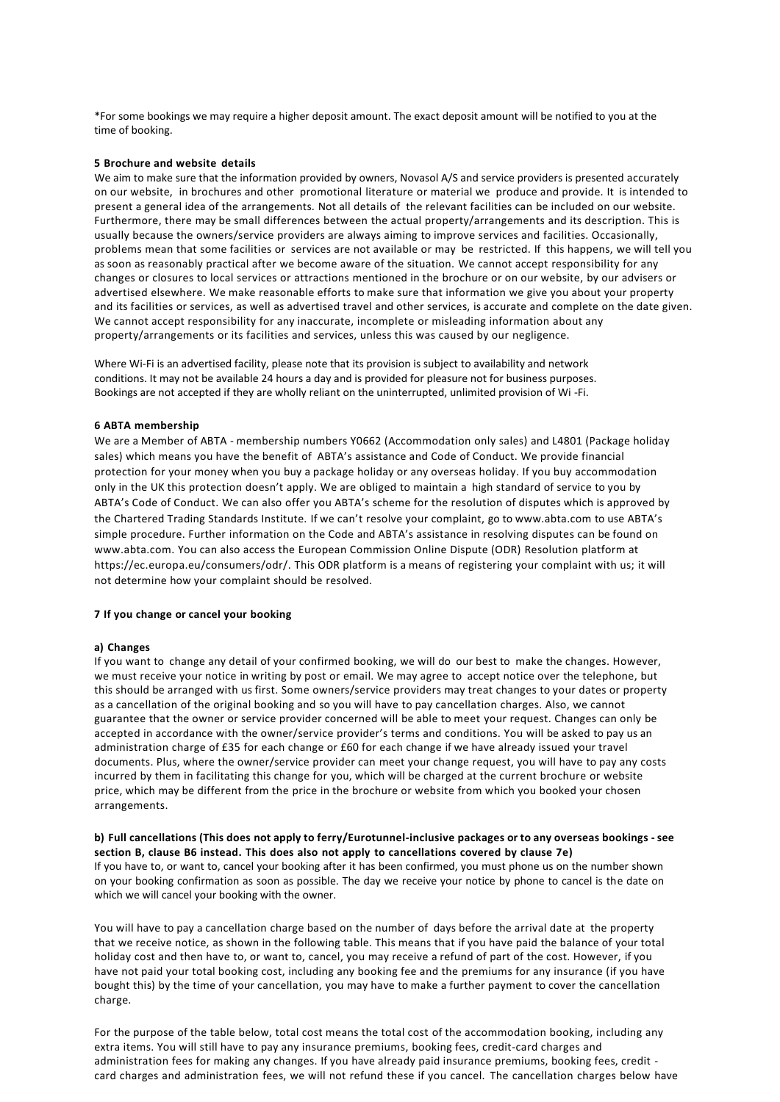\*For some bookings we may require a higher deposit amount. The exact deposit amount will be notified to you at the time of booking.

## **5 Brochure and website details**

We aim to make sure that the information provided by owners, Novasol A/S and service providers is presented accurately on our website, in brochures and other promotional literature or material we produce and provide. It is intended to present a general idea of the arrangements. Not all details of the relevant facilities can be included on our website. Furthermore, there may be small differences between the actual property/arrangements and its description. This is usually because the owners/service providers are always aiming to improve services and facilities. Occasionally, problems mean that some facilities or services are not available or may be restricted. If this happens, we will tell you as soon as reasonably practical after we become aware of the situation. We cannot accept responsibility for any changes or closures to local services or attractions mentioned in the brochure or on our website, by our advisers or advertised elsewhere. We make reasonable efforts to make sure that information we give you about your property and its facilities or services, as well as advertised travel and other services, is accurate and complete on the date given. We cannot accept responsibility for any inaccurate, incomplete or misleading information about any property/arrangements or its facilities and services, unless this was caused by our negligence.

Where Wi-Fi is an advertised facility, please note that its provision is subject to availability and network conditions. It may not be available 24 hours a day and is provided for pleasure not for business purposes. Bookings are not accepted if they are wholly reliant on the uninterrupted, unlimited provision of Wi -Fi.

## **6 ABTA membership**

We are a Member of ABTA - membership numbers Y0662 (Accommodation only sales) and L4801 (Package holiday sales) which means you have the benefit of ABTA's assistance and Code of Conduct. We provide financial protection for your money when you buy a package holiday or any overseas holiday. If you buy accommodation only in the UK this protection doesn't apply. We are obliged to maintain a high standard of service to you by ABTA's Code of Conduct. We can also offer you ABTA's scheme for the resolution of disputes which is approved by the Chartered Trading Standards Institute. If we can't resolve your complaint, go t[o www.abta.com t](http://www.abta.com/)o use ABTA's simple procedure. Further information on the Code and ABTA's assistance in resolving disputes can be found on [www.abta.com. Y](http://www.abta.com/)ou can also access the European Commission Online Dispute (ODR) Resolution platform at [https://ec.europa.eu/consumers/odr/. T](https://ec.europa.eu/consumers/odr/)his ODR platform is a means of registering your complaint with us; it will not determine how your complaint should be resolved.

## **7 If you change or cancel your booking**

## **a) Changes**

If you want to change any detail of your confirmed booking, we will do our best to make the changes. However, we must receive your notice in writing by post or email. We may agree to accept notice over the telephone, but this should be arranged with us first. Some owners/service providers may treat changes to your dates or property as a cancellation of the original booking and so you will have to pay cancellation charges. Also, we cannot guarantee that the owner or service provider concerned will be able to meet your request. Changes can only be accepted in accordance with the owner/service provider's terms and conditions. You will be asked to pay us an administration charge of £35 for each change or £60 for each change if we have already issued your travel documents. Plus, where the owner/service provider can meet your change request, you will have to pay any costs incurred by them in facilitating this change for you, which will be charged at the current brochure or website price, which may be different from the price in the brochure or website from which you booked your chosen arrangements.

## **b) Full cancellations (This does not apply to ferry/Eurotunnel-inclusive packages or to any overseas bookings - see section B, clause B6 instead. This does also not apply to cancellations covered by clause 7e)**

If you have to, or want to, cancel your booking after it has been confirmed, you must phone us on the number shown on your booking confirmation as soon as possible. The day we receive your notice by phone to cancel is the date on which we will cancel your booking with the owner.

You will have to pay a cancellation charge based on the number of days before the arrival date at the property that we receive notice, as shown in the following table. This means that if you have paid the balance of your total holiday cost and then have to, or want to, cancel, you may receive a refund of part of the cost. However, if you have not paid your total booking cost, including any booking fee and the premiums for any insurance (if you have bought this) by the time of your cancellation, you may have to make a further payment to cover the cancellation charge.

For the purpose of the table below, total cost means the total cost of the accommodation booking, including any extra items. You will still have to pay any insurance premiums, booking fees, credit-card charges and administration fees for making any changes. If you have already paid insurance premiums, booking fees, credit card charges and administration fees, we will not refund these if you cancel. The cancellation charges below have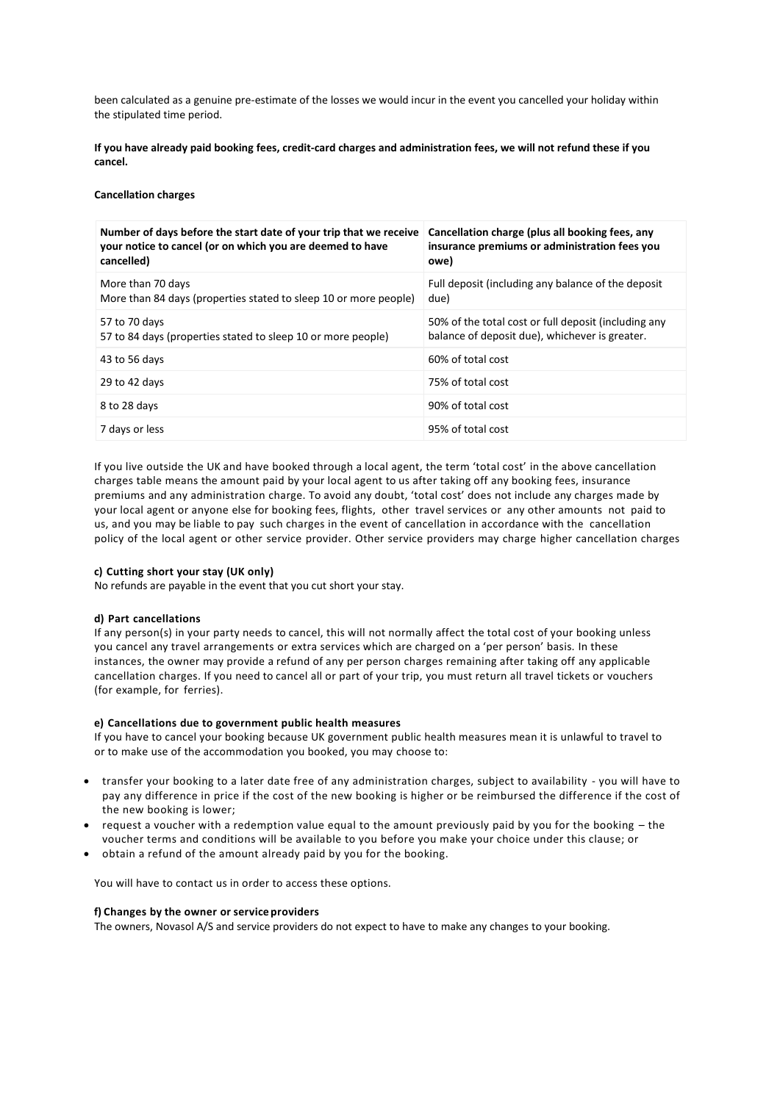been calculated as a genuine pre-estimate of the losses we would incur in the event you cancelled your holiday within the stipulated time period.

**If you have already paid booking fees, credit-card charges and administration fees, we will not refund these if you cancel.**

## **Cancellation charges**

| Number of days before the start date of your trip that we receive<br>your notice to cancel (or on which you are deemed to have<br>cancelled) | Cancellation charge (plus all booking fees, any<br>insurance premiums or administration fees you<br>owe) |
|----------------------------------------------------------------------------------------------------------------------------------------------|----------------------------------------------------------------------------------------------------------|
| More than 70 days<br>More than 84 days (properties stated to sleep 10 or more people)                                                        | Full deposit (including any balance of the deposit<br>due)                                               |
| 57 to 70 days<br>57 to 84 days (properties stated to sleep 10 or more people)                                                                | 50% of the total cost or full deposit (including any<br>balance of deposit due), whichever is greater.   |
| 43 to 56 days                                                                                                                                | 60% of total cost                                                                                        |
| 29 to 42 days                                                                                                                                | 75% of total cost                                                                                        |
| 8 to 28 days                                                                                                                                 | 90% of total cost                                                                                        |
| 7 days or less                                                                                                                               | 95% of total cost                                                                                        |

If you live outside the UK and have booked through a local agent, the term 'total cost' in the above cancellation charges table means the amount paid by your local agent to us after taking off any booking fees, insurance premiums and any administration charge. To avoid any doubt, 'total cost' does not include any charges made by your local agent or anyone else for booking fees, flights, other travel services or any other amounts not paid to us, and you may be liable to pay such charges in the event of cancellation in accordance with the cancellation policy of the local agent or other service provider. Other service providers may charge higher cancellation charges

## **c) Cutting short your stay (UK only)**

No refunds are payable in the event that you cut short your stay.

## **d) Part cancellations**

If any person(s) in your party needs to cancel, this will not normally affect the total cost of your booking unless you cancel any travel arrangements or extra services which are charged on a 'per person' basis. In these instances, the owner may provide a refund of any per person charges remaining after taking off any applicable cancellation charges. If you need to cancel all or part of your trip, you must return all travel tickets or vouchers (for example, for ferries).

## **e) Cancellations due to government public health measures**

If you have to cancel your booking because UK government public health measures mean it is unlawful to travel to or to make use of the accommodation you booked, you may choose to:

- transfer your booking to a later date free of any administration charges, subject to availability you will have to pay any difference in price if the cost of the new booking is higher or be reimbursed the difference if the cost of the new booking is lower;
- request a voucher with a redemption value equal to the amount previously paid by you for the booking the voucher terms and conditions will be available to you before you make your choice under this clause; or
- obtain a refund of the amount already paid by you for the booking.

You will have to contact us in order to access these options.

## **f) Changes by the owner or service providers**

The owners, Novasol A/S and service providers do not expect to have to make any changes to your booking.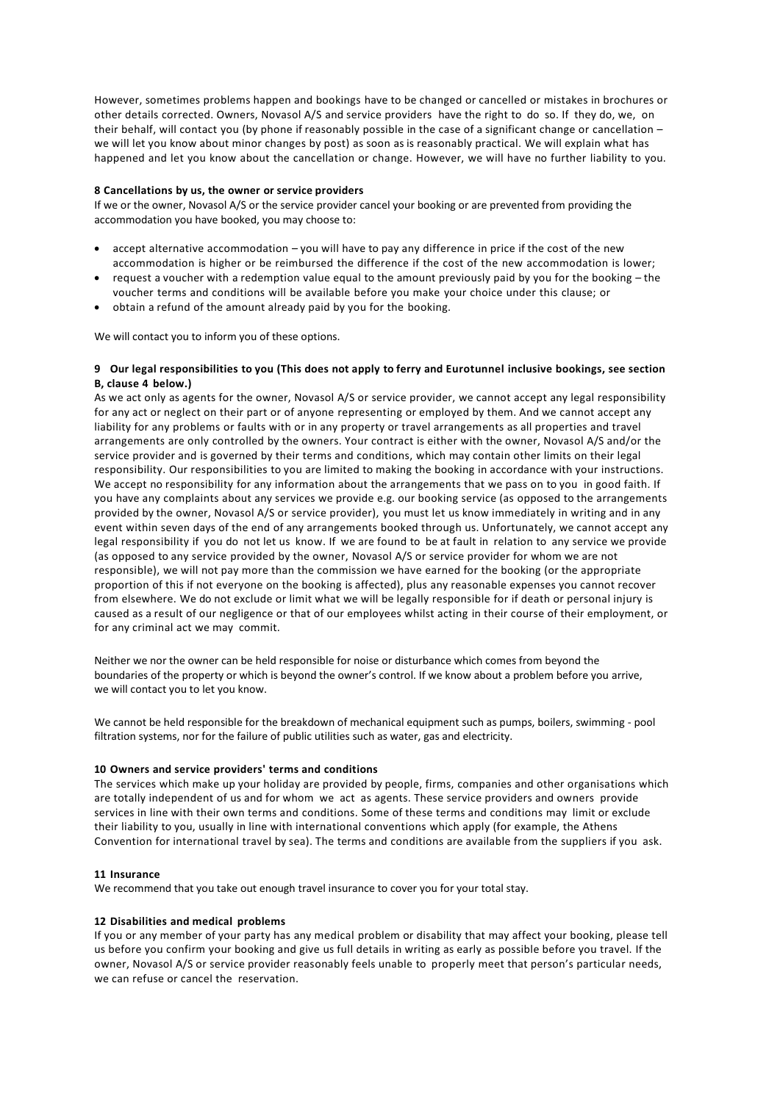However, sometimes problems happen and bookings have to be changed or cancelled or mistakes in brochures or other details corrected. Owners, Novasol A/S and service providers have the right to do so. If they do, we, on their behalf, will contact you (by phone if reasonably possible in the case of a significant change or cancellation – we will let you know about minor changes by post) as soon as is reasonably practical. We will explain what has happened and let you know about the cancellation or change. However, we will have no further liability to you.

## **8 Cancellations by us, the owner or service providers**

If we or the owner, Novasol A/S or the service provider cancel your booking or are prevented from providing the accommodation you have booked, you may choose to:

- accept alternative accommodation you will have to pay any difference in price if the cost of the new accommodation is higher or be reimbursed the difference if the cost of the new accommodation is lower;
- request a voucher with a redemption value equal to the amount previously paid by you for the booking the voucher terms and conditions will be available before you make your choice under this clause; or
- obtain a refund of the amount already paid by you for the booking.

We will contact you to inform you of these options.

## **9 Our legal responsibilities to you (This does not apply to ferry and Eurotunnel inclusive bookings, see section B, clause 4 below.)**

As we act only as agents for the owner, Novasol A/S or service provider, we cannot accept any legal responsibility for any act or neglect on their part or of anyone representing or employed by them. And we cannot accept any liability for any problems or faults with or in any property or travel arrangements as all properties and travel arrangements are only controlled by the owners. Your contract is either with the owner, Novasol A/S and/or the service provider and is governed by their terms and conditions, which may contain other limits on their legal responsibility. Our responsibilities to you are limited to making the booking in accordance with your instructions. We accept no responsibility for any information about the arrangements that we pass on to you in good faith. If you have any complaints about any services we provide e.g. our booking service (as opposed to the arrangements provided by the owner, Novasol A/S or service provider), you must let us know immediately in writing and in any event within seven days of the end of any arrangements booked through us. Unfortunately, we cannot accept any legal responsibility if you do not let us know. If we are found to be at fault in relation to any service we provide (as opposed to any service provided by the owner, Novasol A/S or service provider for whom we are not responsible), we will not pay more than the commission we have earned for the booking (or the appropriate proportion of this if not everyone on the booking is affected), plus any reasonable expenses you cannot recover from elsewhere. We do not exclude or limit what we will be legally responsible for if death or personal injury is caused as a result of our negligence or that of our employees whilst acting in their course of their employment, or for any criminal act we may commit.

Neither we nor the owner can be held responsible for noise or disturbance which comes from beyond the boundaries of the property or which is beyond the owner's control. If we know about a problem before you arrive, we will contact you to let you know.

We cannot be held responsible for the breakdown of mechanical equipment such as pumps, boilers, swimming - pool filtration systems, nor for the failure of public utilities such as water, gas and electricity.

## **10 Owners and service providers' terms and conditions**

The services which make up your holiday are provided by people, firms, companies and other organisations which are totally independent of us and for whom we act as agents. These service providers and owners provide services in line with their own terms and conditions. Some of these terms and conditions may limit or exclude their liability to you, usually in line with international conventions which apply (for example, the Athens Convention for international travel by sea). The terms and conditions are available from the suppliers if you ask.

## **11 Insurance**

We recommend that you take out enough travel insurance to cover you for your total stay.

## **12 Disabilities and medical problems**

If you or any member of your party has any medical problem or disability that may affect your booking, please tell us before you confirm your booking and give us full details in writing as early as possible before you travel. If the owner, Novasol A/S or service provider reasonably feels unable to properly meet that person's particular needs, we can refuse or cancel the reservation.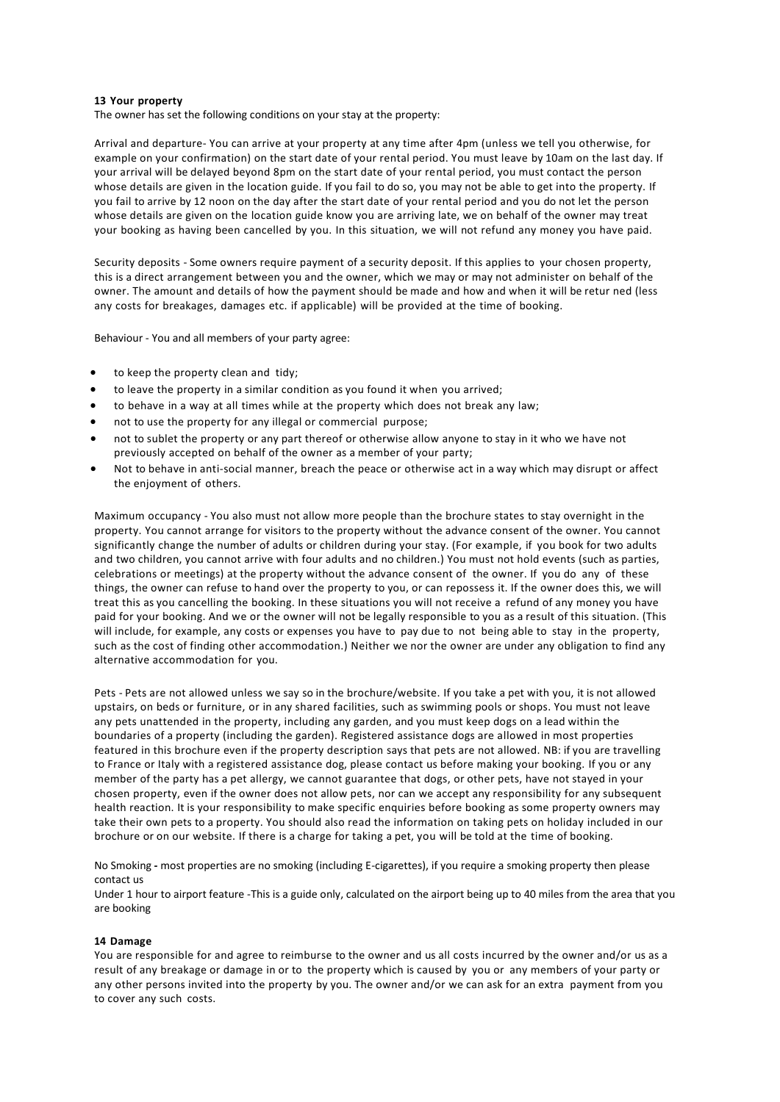## **13 Your property**

The owner has set the following conditions on your stay at the property:

Arrival and departure- You can arrive at your property at any time after 4pm (unless we tell you otherwise, for example on your confirmation) on the start date of your rental period. You must leave by 10am on the last day. If your arrival will be delayed beyond 8pm on the start date of your rental period, you must contact the person whose details are given in the location guide. If you fail to do so, you may not be able to get into the property. If you fail to arrive by 12 noon on the day after the start date of your rental period and you do not let the person whose details are given on the location guide know you are arriving late, we on behalf of the owner may treat your booking as having been cancelled by you. In this situation, we will not refund any money you have paid.

Security deposits - Some owners require payment of a security deposit. If this applies to your chosen property, this is a direct arrangement between you and the owner, which we may or may not administer on behalf of the owner. The amount and details of how the payment should be made and how and when it will be retur ned (less any costs for breakages, damages etc. if applicable) will be provided at the time of booking.

Behaviour - You and all members of your party agree:

- to keep the property clean and tidy;
- to leave the property in a similar condition as you found it when you arrived;
- to behave in a way at all times while at the property which does not break any law;
- not to use the property for any illegal or commercial purpose;
- not to sublet the property or any part thereof or otherwise allow anyone to stay in it who we have not previously accepted on behalf of the owner as a member of your party;
- Not to behave in anti-social manner, breach the peace or otherwise act in a way which may disrupt or affect the enjoyment of others.

Maximum occupancy - You also must not allow more people than the brochure states to stay overnight in the property. You cannot arrange for visitors to the property without the advance consent of the owner. You cannot significantly change the number of adults or children during your stay. (For example, if you book for two adults and two children, you cannot arrive with four adults and no children.) You must not hold events (such as parties, celebrations or meetings) at the property without the advance consent of the owner. If you do any of these things, the owner can refuse to hand over the property to you, or can repossess it. If the owner does this, we will treat this as you cancelling the booking. In these situations you will not receive a refund of any money you have paid for your booking. And we or the owner will not be legally responsible to you as a result of this situation. (This will include, for example, any costs or expenses you have to pay due to not being able to stay in the property, such as the cost of finding other accommodation.) Neither we nor the owner are under any obligation to find any alternative accommodation for you.

Pets - Pets are not allowed unless we say so in the brochure/website. If you take a pet with you, it is not allowed upstairs, on beds or furniture, or in any shared facilities, such as swimming pools or shops. You must not leave any pets unattended in the property, including any garden, and you must keep dogs on a lead within the boundaries of a property (including the garden). Registered assistance dogs are allowed in most properties featured in this brochure even if the property description says that pets are not allowed. NB: if you are travelling to France or Italy with a registered assistance dog, please contact us before making your booking. If you or any member of the party has a pet allergy, we cannot guarantee that dogs, or other pets, have not stayed in your chosen property, even if the owner does not allow pets, nor can we accept any responsibility for any subsequent health reaction. It is your responsibility to make specific enquiries before booking as some property owners may take their own pets to a property. You should also read the information on taking pets on holiday included in our brochure or on our website. If there is a charge for taking a pet, you will be told at the time of booking.

No Smoking **-** most properties are no smoking (including E-cigarettes), if you require a smoking property then please contact us

Under 1 hour to airport feature -This is a guide only, calculated on the airport being up to 40 miles from the area that you are booking

## **14 Damage**

You are responsible for and agree to reimburse to the owner and us all costs incurred by the owner and/or us as a result of any breakage or damage in or to the property which is caused by you or any members of your party or any other persons invited into the property by you. The owner and/or we can ask for an extra payment from you to cover any such costs.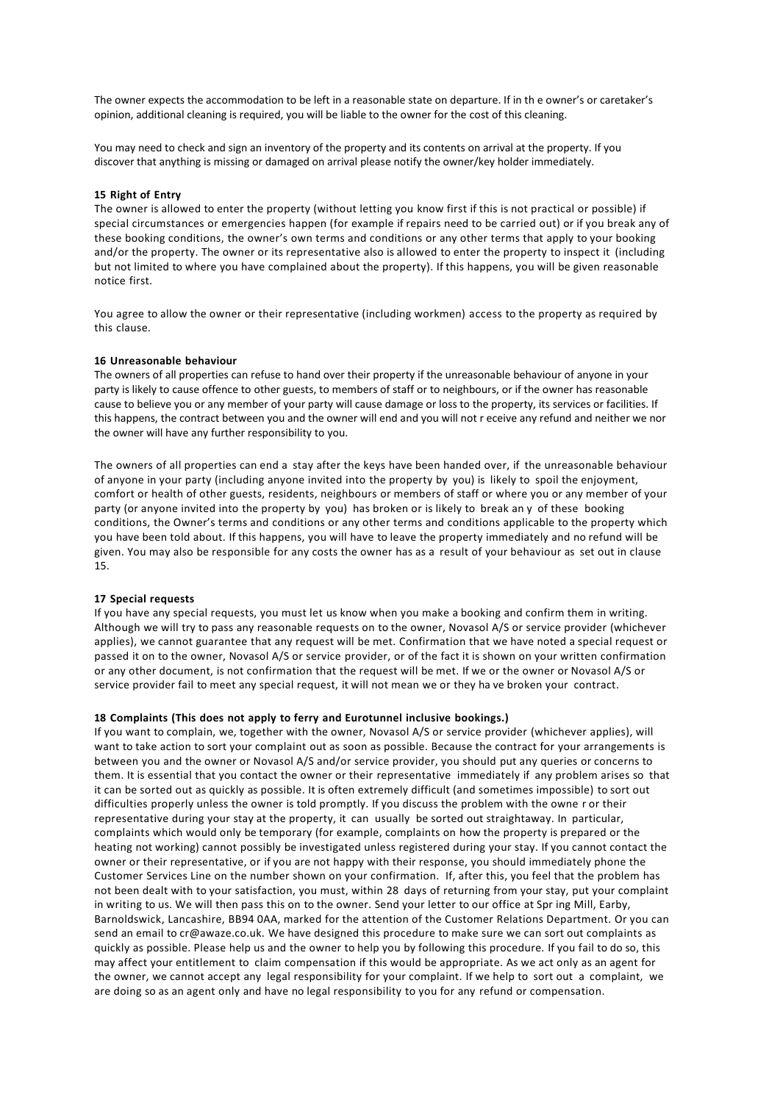The owner expects the accommodation to be left in a reasonable state on departure. If in th e owner's or caretaker's opinion, additional cleaning is required, you will be liable to the owner for the cost of this cleaning.

You may need to check and sign an inventory of the property and its contents on arrival at the property. If you discover that anything is missing or damaged on arrival please notify the owner/key holder immediately.

## **15 Right of Entry**

The owner is allowed to enter the property (without letting you know first if this is not practical or possible) if special circumstances or emergencies happen (for example if repairs need to be carried out) or if you break any of these booking conditions, the owner's own terms and conditions or any other terms that apply to your booking and/or the property. The owner or its representative also is allowed to enter the property to inspect it (including but not limited to where you have complained about the property). If this happens, you will be given reasonable notice first.

You agree to allow the owner or their representative (including workmen) access to the property as required by this clause.

#### **16 Unreasonable behaviour**

The owners of all properties can refuse to hand over their property if the unreasonable behaviour of anyone in your party is likely to cause offence to other guests, to members of staff or to neighbours, or if the owner has reasonable cause to believe you or any member of your party will cause damage or loss to the property, its services or facilities. If this happens, the contract between you and the owner will end and you will not r eceive any refund and neither we nor the owner will have any further responsibility to you.

The owners of all properties can end a stay after the keys have been handed over, if the unreasonable behaviour of anyone in your party (including anyone invited into the property by you) is likely to spoil the enjoyment, comfort or health of other guests, residents, neighbours or members of staff or where you or any member of your party (or anyone invited into the property by you) has broken or is likely to break an y of these booking conditions, the Owner's terms and conditions or any other terms and conditions applicable to the property which you have been told about. If this happens, you will have to leave the property immediately and no refund will be given. You may also be responsible for any costs the owner has as a result of your behaviour as set out in clause 15.

## **17 Special requests**

If you have any special requests, you must let us know when you make a booking and confirm them in writing. Although we will try to pass any reasonable requests on to the owner, Novasol A/S or service provider (whichever applies), we cannot guarantee that any request will be met. Confirmation that we have noted a special request or passed it on to the owner, Novasol A/S or service provider, or of the fact it is shown on your written confirmation or any other document, is not confirmation that the request will be met. If we or the owner or Novasol A/S or service provider fail to meet any special request, it will not mean we or they ha ve broken your contract.

#### **18 Complaints (This does not apply to ferry and Eurotunnel inclusive bookings.)**

If you want to complain, we, together with the owner, Novasol A/S or service provider (whichever applies), will want to take action to sort your complaint out as soon as possible. Because the contract for your arrangements is between you and the owner or Novasol A/S and/or service provider, you should put any queries or concerns to them. It is essential that you contact the owner or their representative immediately if any problem arises so that it can be sorted out as quickly as possible. It is often extremely difficult (and sometimes impossible) to sort out difficulties properly unless the owner is told promptly. If you discuss the problem with the owne r or their representative during your stay at the property, it can usually be sorted out straightaway. In particular, complaints which would only be temporary (for example, complaints on how the property is prepared or the heating not working) cannot possibly be investigated unless registered during your stay. If you cannot contact the owner or their representative, or if you are not happy with their response, you should immediately phone the Customer Services Line on the number shown on your confirmation. If, after this, you feel that the problem has not been dealt with to your satisfaction, you must, within 28 days of returning from your stay, put your complaint in writing to us. We will then pass this on to the owner. Send your letter to our office at Spr ing Mill, Earby, Barnoldswick, Lancashire, BB94 0AA, marked for the attention of the Customer Relations Department. Or you can send an email t[o cr@awaze.co.uk. W](mailto:cr@awaze.co.uk)e have designed this procedure to make sure we can sort out complaints as quickly as possible. Please help us and the owner to help you by following this procedure. If you fail to do so, this may affect your entitlement to claim compensation if this would be appropriate. As we act only as an agent for the owner, we cannot accept any legal responsibility for your complaint. If we help to sort out a complaint, we are doing so as an agent only and have no legal responsibility to you for any refund or compensation.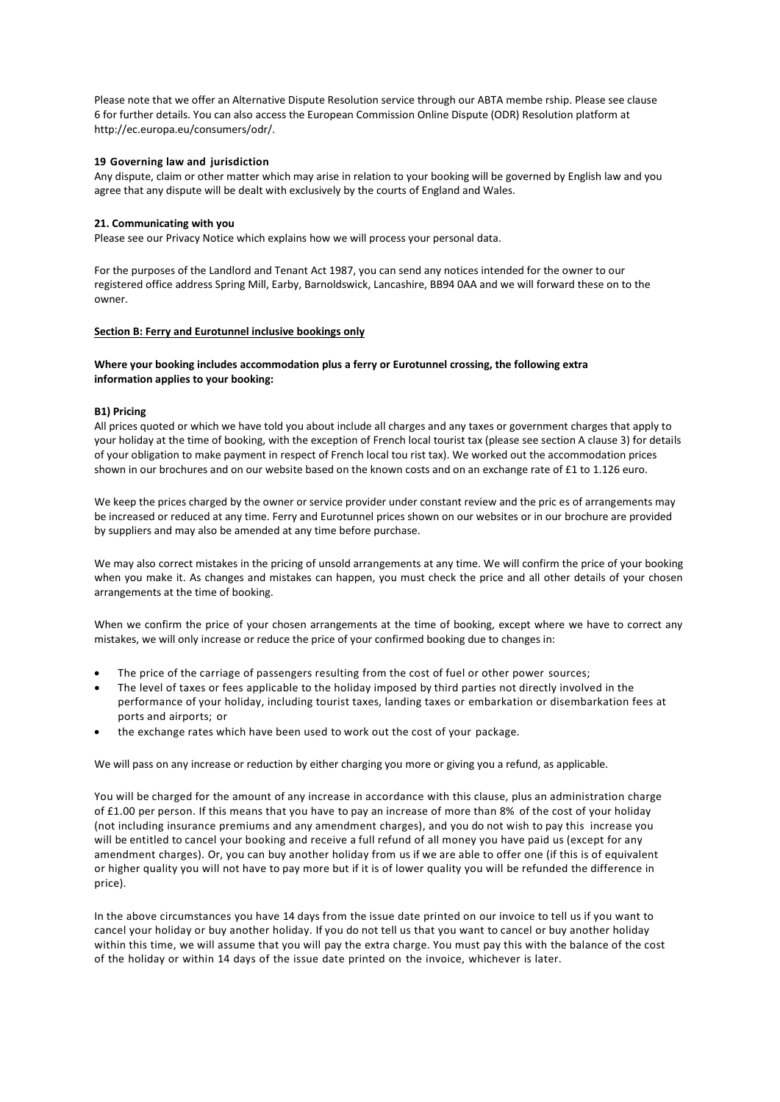Please note that we offer an Alternative Dispute Resolution service through our ABTA membe rship. Please see clause 6 for further details. You can also access the European Commission Online Dispute (ODR) Resolution platform at [http://ec.europa.eu/consumers/odr/.](http://ec.europa.eu/consumers/odr/)

## **19 Governing law and jurisdiction**

Any dispute, claim or other matter which may arise in relation to your booking will be governed by English law and you agree that any dispute will be dealt with exclusively by the courts of England and Wales.

## **21. Communicating with you**

Please see our Privacy Notice which explains how we will process your personal data.

For the purposes of the Landlord and Tenant Act 1987, you can send any notices intended for the owner to our registered office address Spring Mill, Earby, Barnoldswick, Lancashire, BB94 0AA and we will forward these on to the owner.

## **Section B: Ferry and Eurotunnel inclusive bookings only**

## **Where your booking includes accommodation plus a ferry or Eurotunnel crossing, the following extra information applies to your booking:**

## **B1) Pricing**

All prices quoted or which we have told you about include all charges and any taxes or government charges that apply to your holiday at the time of booking, with the exception of French local tourist tax (please see section A clause 3) for details of your obligation to make payment in respect of French local tou rist tax). We worked out the accommodation prices shown in our brochures and on our website based on the known costs and on an exchange rate of £1 to 1.126 euro.

We keep the prices charged by the owner or service provider under constant review and the pric es of arrangements may be increased or reduced at any time. Ferry and Eurotunnel prices shown on our websites or in our brochure are provided by suppliers and may also be amended at any time before purchase.

We may also correct mistakes in the pricing of unsold arrangements at any time. We will confirm the price of your booking when you make it. As changes and mistakes can happen, you must check the price and all other details of your chosen arrangements at the time of booking.

When we confirm the price of your chosen arrangements at the time of booking, except where we have to correct any mistakes, we will only increase or reduce the price of your confirmed booking due to changes in:

- The price of the carriage of passengers resulting from the cost of fuel or other power sources;
- The level of taxes or fees applicable to the holiday imposed by third parties not directly involved in the performance of your holiday, including tourist taxes, landing taxes or embarkation or disembarkation fees at ports and airports; or
- the exchange rates which have been used to work out the cost of your package.

We will pass on any increase or reduction by either charging you more or giving you a refund, as applicable.

You will be charged for the amount of any increase in accordance with this clause, plus an administration charge of £1.00 per person. If this means that you have to pay an increase of more than 8% of the cost of your holiday (not including insurance premiums and any amendment charges), and you do not wish to pay this increase you will be entitled to cancel your booking and receive a full refund of all money you have paid us (except for any amendment charges). Or, you can buy another holiday from us if we are able to offer one (if this is of equivalent or higher quality you will not have to pay more but if it is of lower quality you will be refunded the difference in price).

In the above circumstances you have 14 days from the issue date printed on our invoice to tell us if you want to cancel your holiday or buy another holiday. If you do not tell us that you want to cancel or buy another holiday within this time, we will assume that you will pay the extra charge. You must pay this with the balance of the cost of the holiday or within 14 days of the issue date printed on the invoice, whichever is later.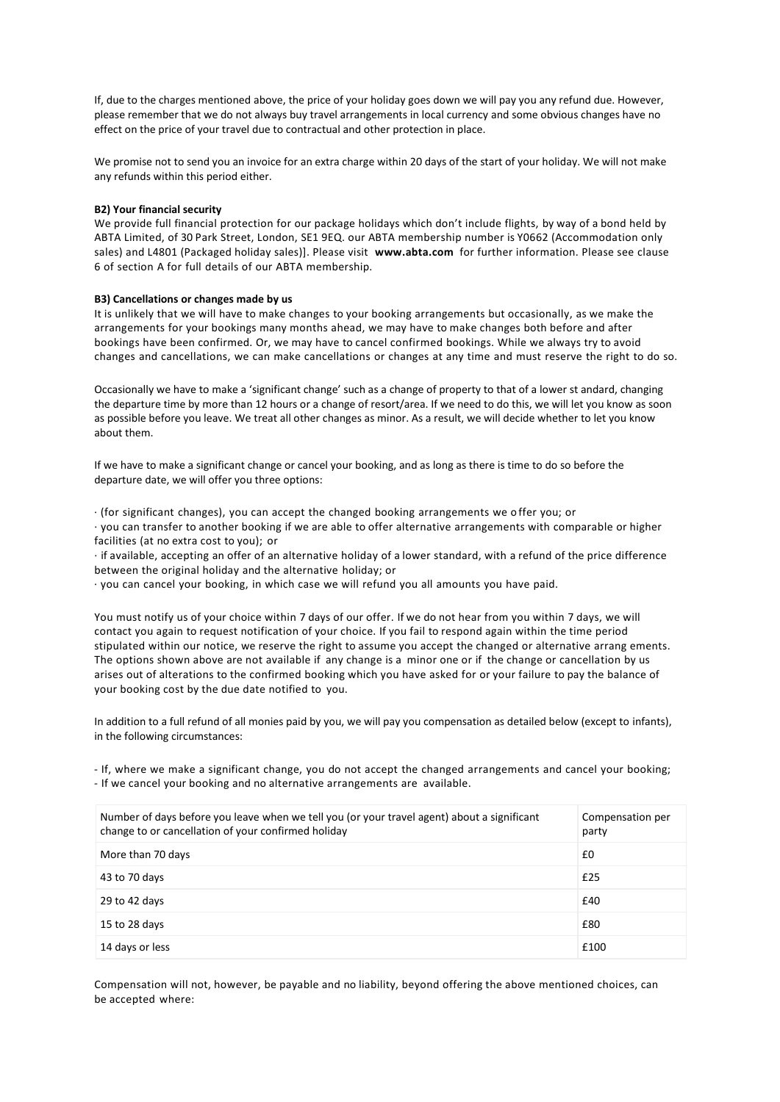If, due to the charges mentioned above, the price of your holiday goes down we will pay you any refund due. However, please remember that we do not always buy travel arrangements in local currency and some obvious changes have no effect on the price of your travel due to contractual and other protection in place.

We promise not to send you an invoice for an extra charge within 20 days of the start of your holiday. We will not make any refunds within this period either.

## **B2) Your financial security**

We provide full financial protection for our package holidays which don't include flights, by way of a bond held by ABTA Limited, of 30 Park Street, London, SE1 9EQ. our ABTA membership number is Y0662 (Accommodation only sales) and L4801 (Packaged holiday sales)]. Please visit **[www.abta.com](http://www.abta.com/)** for further information. Please see clause 6 of section A for full details of our ABTA membership.

## **B3) Cancellations or changes made by us**

It is unlikely that we will have to make changes to your booking arrangements but occasionally, as we make the arrangements for your bookings many months ahead, we may have to make changes both before and after bookings have been confirmed. Or, we may have to cancel confirmed bookings. While we always try to avoid changes and cancellations, we can make cancellations or changes at any time and must reserve the right to do so.

Occasionally we have to make a 'significant change' such as a change of property to that of a lower st andard, changing the departure time by more than 12 hours or a change of resort/area. If we need to do this, we will let you know as soon as possible before you leave. We treat all other changes as minor. As a result, we will decide whether to let you know about them.

If we have to make a significant change or cancel your booking, and as long as there is time to do so before the departure date, we will offer you three options:

· (for significant changes), you can accept the changed booking arrangements we o ffer you; or

· you can transfer to another booking if we are able to offer alternative arrangements with comparable or higher facilities (at no extra cost to you); or

· if available, accepting an offer of an alternative holiday of a lower standard, with a refund of the price difference between the original holiday and the alternative holiday; or

· you can cancel your booking, in which case we will refund you all amounts you have paid.

You must notify us of your choice within 7 days of our offer. If we do not hear from you within 7 days, we will contact you again to request notification of your choice. If you fail to respond again within the time period stipulated within our notice, we reserve the right to assume you accept the changed or alternative arrang ements. The options shown above are not available if any change is a minor one or if the change or cancellation by us arises out of alterations to the confirmed booking which you have asked for or your failure to pay the balance of your booking cost by the due date notified to you.

In addition to a full refund of all monies paid by you, we will pay you compensation as detailed below (except to infants), in the following circumstances:

- If, where we make a significant change, you do not accept the changed arrangements and cancel your booking; - If we cancel your booking and no alternative arrangements are available.

| Number of days before you leave when we tell you (or your travel agent) about a significant<br>change to or cancellation of your confirmed holiday | Compensation per<br>party |
|----------------------------------------------------------------------------------------------------------------------------------------------------|---------------------------|
| More than 70 days                                                                                                                                  | £0                        |
| 43 to 70 days                                                                                                                                      | £25                       |
| 29 to 42 days                                                                                                                                      | £40                       |
| 15 to 28 days                                                                                                                                      | £80                       |
| 14 days or less                                                                                                                                    | £100                      |

Compensation will not, however, be payable and no liability, beyond offering the above mentioned choices, can be accepted where: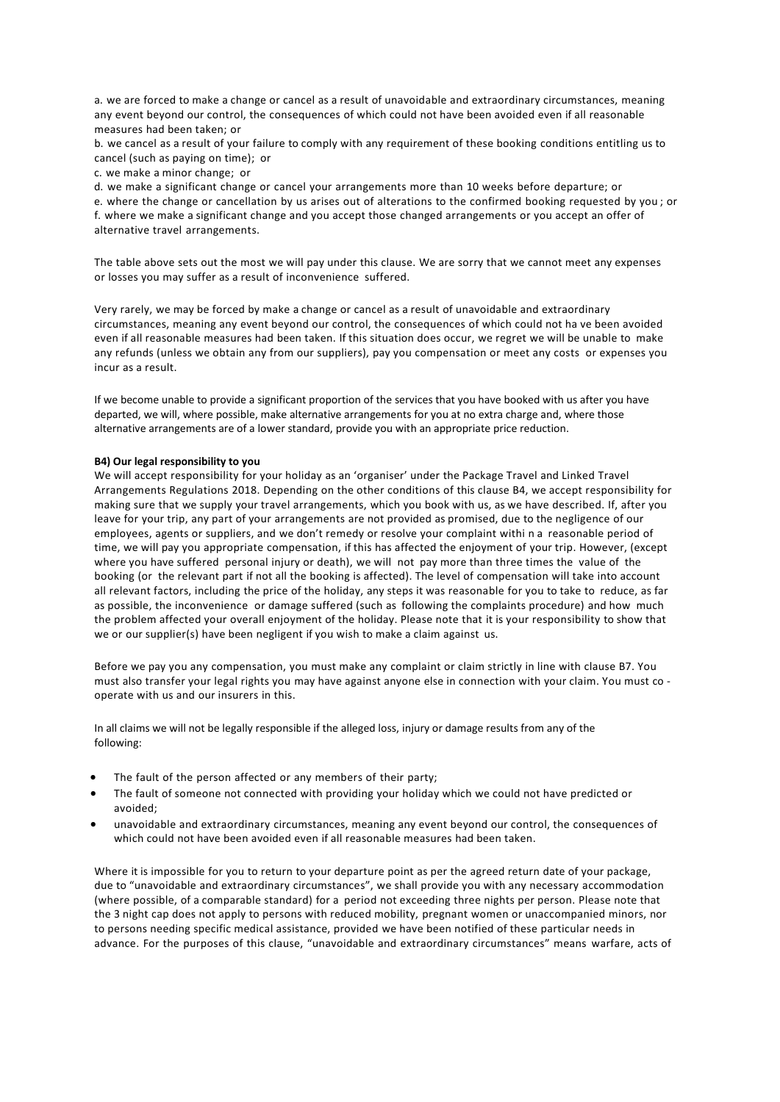a. we are forced to make a change or cancel as a result of unavoidable and extraordinary circumstances, meaning any event beyond our control, the consequences of which could not have been avoided even if all reasonable measures had been taken; or

b. we cancel as a result of your failure to comply with any requirement of these booking conditions entitling us to cancel (such as paying on time); or

c. we make a minor change; or

d. we make a significant change or cancel your arrangements more than 10 weeks before departure; or

e. where the change or cancellation by us arises out of alterations to the confirmed booking requested by you ; or f. where we make a significant change and you accept those changed arrangements or you accept an offer of alternative travel arrangements.

The table above sets out the most we will pay under this clause. We are sorry that we cannot meet any expenses or losses you may suffer as a result of inconvenience suffered.

Very rarely, we may be forced by make a change or cancel as a result of unavoidable and extraordinary circumstances, meaning any event beyond our control, the consequences of which could not ha ve been avoided even if all reasonable measures had been taken. If this situation does occur, we regret we will be unable to make any refunds (unless we obtain any from our suppliers), pay you compensation or meet any costs or expenses you incur as a result.

If we become unable to provide a significant proportion of the services that you have booked with us after you have departed, we will, where possible, make alternative arrangements for you at no extra charge and, where those alternative arrangements are of a lower standard, provide you with an appropriate price reduction.

## **B4) Our legal responsibility to you**

We will accept responsibility for your holiday as an 'organiser' under the Package Travel and Linked Travel Arrangements Regulations 2018. Depending on the other conditions of this clause B4, we accept responsibility for making sure that we supply your travel arrangements, which you book with us, as we have described. If, after you leave for your trip, any part of your arrangements are not provided as promised, due to the negligence of our employees, agents or suppliers, and we don't remedy or resolve your complaint withi n a reasonable period of time, we will pay you appropriate compensation, if this has affected the enjoyment of your trip. However, (except where you have suffered personal injury or death), we will not pay more than three times the value of the booking (or the relevant part if not all the booking is affected). The level of compensation will take into account all relevant factors, including the price of the holiday, any steps it was reasonable for you to take to reduce, as far as possible, the inconvenience or damage suffered (such as following the complaints procedure) and how much the problem affected your overall enjoyment of the holiday. Please note that it is your responsibility to show that we or our supplier(s) have been negligent if you wish to make a claim against us.

Before we pay you any compensation, you must make any complaint or claim strictly in line with clause B7. You must also transfer your legal rights you may have against anyone else in connection with your claim. You must co operate with us and our insurers in this.

In all claims we will not be legally responsible if the alleged loss, injury or damage results from any of the following:

- The fault of the person affected or any members of their party;
- The fault of someone not connected with providing your holiday which we could not have predicted or avoided;
- unavoidable and extraordinary circumstances, meaning any event beyond our control, the consequences of which could not have been avoided even if all reasonable measures had been taken.

Where it is impossible for you to return to your departure point as per the agreed return date of your package, due to "unavoidable and extraordinary circumstances", we shall provide you with any necessary accommodation (where possible, of a comparable standard) for a period not exceeding three nights per person. Please note that the 3 night cap does not apply to persons with reduced mobility, pregnant women or unaccompanied minors, nor to persons needing specific medical assistance, provided we have been notified of these particular needs in advance. For the purposes of this clause, "unavoidable and extraordinary circumstances" means warfare, acts of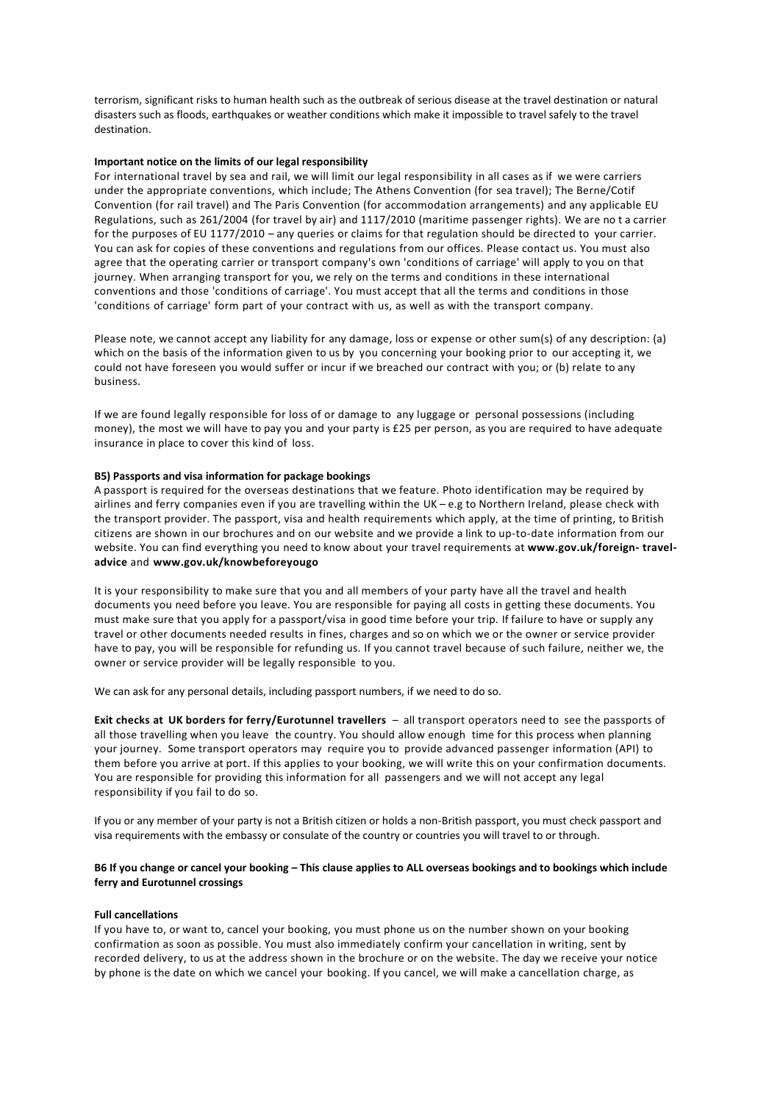terrorism, significant risks to human health such as the outbreak of serious disease at the travel destination or natural disasters such as floods, earthquakes or weather conditions which make it impossible to travel safely to the travel destination.

## **Important notice on the limits of our legal responsibility**

For international travel by sea and rail, we will limit our legal responsibility in all cases as if we were carriers under the appropriate conventions, which include; The Athens Convention (for sea travel); The Berne/Cotif Convention (for rail travel) and The Paris Convention (for accommodation arrangements) and any applicable EU Regulations, such as 261/2004 (for travel by air) and 1117/2010 (maritime passenger rights). We are no t a carrier for the purposes of EU 1177/2010 – any queries or claims for that regulation should be directed to your carrier. You can ask for copies of these conventions and regulations from our offices. Please contact us. You must also agree that the operating carrier or transport company's own 'conditions of carriage' will apply to you on that journey. When arranging transport for you, we rely on the terms and conditions in these international conventions and those 'conditions of carriage'. You must accept that all the terms and conditions in those 'conditions of carriage' form part of your contract with us, as well as with the transport company.

Please note, we cannot accept any liability for any damage, loss or expense or other sum(s) of any description: (a) which on the basis of the information given to us by you concerning your booking prior to our accepting it, we could not have foreseen you would suffer or incur if we breached our contract with you; or (b) relate to any business.

If we are found legally responsible for loss of or damage to any luggage or personal possessions (including money), the most we will have to pay you and your party is £25 per person, as you are required to have adequate insurance in place to cover this kind of loss.

## **B5) Passports and visa information for package bookings**

A passport is required for the overseas destinations that we feature. Photo identification may be required by airlines and ferry companies even if you are travelling within the UK – e.g to Northern Ireland, please check with the transport provider. The passport, visa and health requirements which apply, at the time of printing, to British citizens are shown in our brochures and on our website and we provide a link to up-to-date information from our website. You can find everything you need to know about your travel requirements at **[www.gov.uk/foreign-](https://www.gov.uk/foreign-travel-advice) [travel](https://www.gov.uk/foreign-travel-advice)[advice](https://www.gov.uk/foreign-travel-advice)** and **[www.gov.uk/knowbeforeyougo](https://www.gov.uk/knowbeforeyougo)**

It is your responsibility to make sure that you and all members of your party have all the travel and health documents you need before you leave. You are responsible for paying all costs in getting these documents. You must make sure that you apply for a passport/visa in good time before your trip. If failure to have or supply any travel or other documents needed results in fines, charges and so on which we or the owner or service provider have to pay, you will be responsible for refunding us. If you cannot travel because of such failure, neither we, the owner or service provider will be legally responsible to you.

We can ask for any personal details, including passport numbers, if we need to do so.

**Exit checks at UK borders for ferry/Eurotunnel travellers** – all transport operators need to see the passports of all those travelling when you leave the country. You should allow enough time for this process when planning your journey. Some transport operators may require you to provide advanced passenger information (API) to them before you arrive at port. If this applies to your booking, we will write this on your confirmation documents. You are responsible for providing this information for all passengers and we will not accept any legal responsibility if you fail to do so.

If you or any member of your party is not a British citizen or holds a non-British passport, you must check passport and visa requirements with the embassy or consulate of the country or countries you will travel to or through.

## **B6 If you change or cancel your booking – This clause applies to ALL overseas bookings and to bookings which include ferry and Eurotunnel crossings**

## **Full cancellations**

If you have to, or want to, cancel your booking, you must phone us on the number shown on your booking confirmation as soon as possible. You must also immediately confirm your cancellation in writing, sent by recorded delivery, to us at the address shown in the brochure or on the website. The day we receive your notice by phone is the date on which we cancel your booking. If you cancel, we will make a cancellation charge, as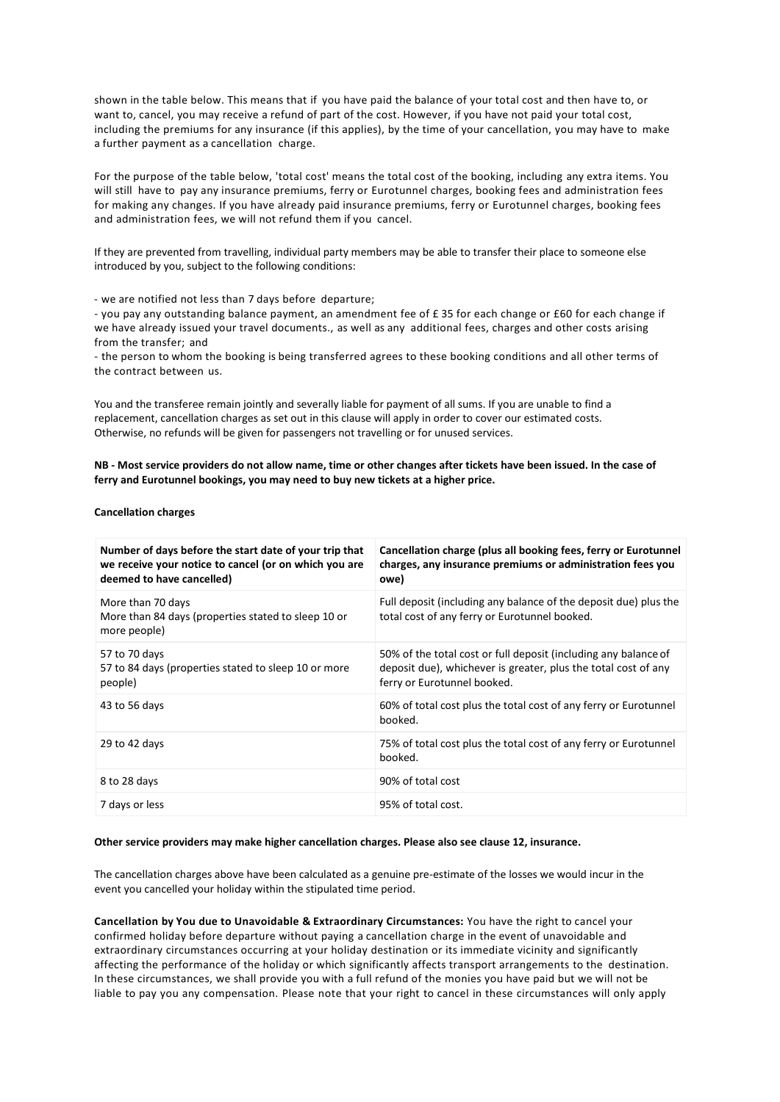shown in the table below. This means that if you have paid the balance of your total cost and then have to, or want to, cancel, you may receive a refund of part of the cost. However, if you have not paid your total cost, including the premiums for any insurance (if this applies), by the time of your cancellation, you may have to make a further payment as a cancellation charge.

For the purpose of the table below, 'total cost' means the total cost of the booking, including any extra items. You will still have to pay any insurance premiums, ferry or Eurotunnel charges, booking fees and administration fees for making any changes. If you have already paid insurance premiums, ferry or Eurotunnel charges, booking fees and administration fees, we will not refund them if you cancel.

If they are prevented from travelling, individual party members may be able to transfer their place to someone else introduced by you, subject to the following conditions:

- we are notified not less than 7 days before departure;

- you pay any outstanding balance payment, an amendment fee of £ 35 for each change or £60 for each change if we have already issued your travel documents., as well as any additional fees, charges and other costs arising from the transfer; and

- the person to whom the booking is being transferred agrees to these booking conditions and all other terms of the contract between us.

You and the transferee remain jointly and severally liable for payment of all sums. If you are unable to find a replacement, cancellation charges as set out in this clause will apply in order to cover our estimated costs. Otherwise, no refunds will be given for passengers not travelling or for unused services.

**NB - Most service providers do not allow name, time or other changes after tickets have been issued. In the case of ferry and Eurotunnel bookings, you may need to buy new tickets at a higher price.**

**Cancellation charges**

| Number of days before the start date of your trip that<br>we receive your notice to cancel (or on which you are<br>deemed to have cancelled) | Cancellation charge (plus all booking fees, ferry or Eurotunnel<br>charges, any insurance premiums or administration fees you<br>owe)                            |
|----------------------------------------------------------------------------------------------------------------------------------------------|------------------------------------------------------------------------------------------------------------------------------------------------------------------|
| More than 70 days<br>More than 84 days (properties stated to sleep 10 or<br>more people)                                                     | Full deposit (including any balance of the deposit due) plus the<br>total cost of any ferry or Eurotunnel booked.                                                |
| 57 to 70 days<br>57 to 84 days (properties stated to sleep 10 or more<br>people)                                                             | 50% of the total cost or full deposit (including any balance of<br>deposit due), whichever is greater, plus the total cost of any<br>ferry or Eurotunnel booked. |
| 43 to 56 days                                                                                                                                | 60% of total cost plus the total cost of any ferry or Eurotunnel<br>booked.                                                                                      |
| 29 to 42 days                                                                                                                                | 75% of total cost plus the total cost of any ferry or Eurotunnel<br>booked.                                                                                      |
| 8 to 28 days                                                                                                                                 | 90% of total cost                                                                                                                                                |
| 7 days or less                                                                                                                               | 95% of total cost.                                                                                                                                               |

## **Other service providers may make higher cancellation charges. Please also see clause 12, insurance.**

The cancellation charges above have been calculated as a genuine pre-estimate of the losses we would incur in the event you cancelled your holiday within the stipulated time period.

**Cancellation by You due to Unavoidable & Extraordinary Circumstances:** You have the right to cancel your confirmed holiday before departure without paying a cancellation charge in the event of unavoidable and extraordinary circumstances occurring at your holiday destination or its immediate vicinity and significantly affecting the performance of the holiday or which significantly affects transport arrangements to the destination. In these circumstances, we shall provide you with a full refund of the monies you have paid but we will not be liable to pay you any compensation. Please note that your right to cancel in these circumstances will only apply